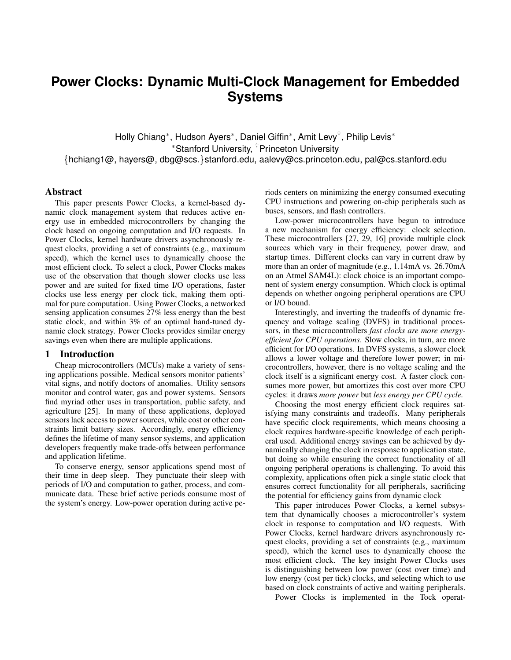# **Power Clocks: Dynamic Multi-Clock Management for Embedded Systems**

Holly Chiang<sup>∗</sup>, Hudson Ayers<sup>∗</sup>, Daniel Giffin<sup>∗</sup>, Amit Levy<sup>†</sup>, Philip Levis<sup>∗</sup> <sup>∗</sup>Stanford University, †Princeton University {hchiang1@, hayers@, dbg@scs.}stanford.edu, aalevy@cs.princeton.edu, pal@cs.stanford.edu

# Abstract

This paper presents Power Clocks, a kernel-based dynamic clock management system that reduces active energy use in embedded microcontrollers by changing the clock based on ongoing computation and I/O requests. In Power Clocks, kernel hardware drivers asynchronously request clocks, providing a set of constraints (e.g., maximum speed), which the kernel uses to dynamically choose the most efficient clock. To select a clock, Power Clocks makes use of the observation that though slower clocks use less power and are suited for fixed time I/O operations, faster clocks use less energy per clock tick, making them optimal for pure computation. Using Power Clocks, a networked sensing application consumes 27% less energy than the best static clock, and within 3% of an optimal hand-tuned dynamic clock strategy. Power Clocks provides similar energy savings even when there are multiple applications.

## 1 Introduction

Cheap microcontrollers (MCUs) make a variety of sensing applications possible. Medical sensors monitor patients' vital signs, and notify doctors of anomalies. Utility sensors monitor and control water, gas and power systems. Sensors find myriad other uses in transportation, public safety, and agriculture [25]. In many of these applications, deployed sensors lack access to power sources, while cost or other constraints limit battery sizes. Accordingly, energy efficiency defines the lifetime of many sensor systems, and application developers frequently make trade-offs between performance and application lifetime.

To conserve energy, sensor applications spend most of their time in deep sleep. They punctuate their sleep with periods of I/O and computation to gather, process, and communicate data. These brief active periods consume most of the system's energy. Low-power operation during active periods centers on minimizing the energy consumed executing CPU instructions and powering on-chip peripherals such as buses, sensors, and flash controllers.

Low-power microcontrollers have begun to introduce a new mechanism for energy efficiency: clock selection. These microcontrollers [27, 29, 16] provide multiple clock sources which vary in their frequency, power draw, and startup times. Different clocks can vary in current draw by more than an order of magnitude (e.g., 1.14mA vs. 26.70mA on an Atmel SAM4L): clock choice is an important component of system energy consumption. Which clock is optimal depends on whether ongoing peripheral operations are CPU or I/O bound.

Interestingly, and inverting the tradeoffs of dynamic frequency and voltage scaling (DVFS) in traditional processors, in these microcontrollers *fast clocks are more energyefficient for CPU operations*. Slow clocks, in turn, are more efficient for I/O operations. In DVFS systems, a slower clock allows a lower voltage and therefore lower power; in microcontrollers, however, there is no voltage scaling and the clock itself is a significant energy cost. A faster clock consumes more power, but amortizes this cost over more CPU cycles: it draws *more power* but *less energy per CPU cycle.*

Choosing the most energy efficient clock requires satisfying many constraints and tradeoffs. Many peripherals have specific clock requirements, which means choosing a clock requires hardware-specific knowledge of each peripheral used. Additional energy savings can be achieved by dynamically changing the clock in response to application state, but doing so while ensuring the correct functionality of all ongoing peripheral operations is challenging. To avoid this complexity, applications often pick a single static clock that ensures correct functionality for all peripherals, sacrificing the potential for efficiency gains from dynamic clock

This paper introduces Power Clocks, a kernel subsystem that dynamically chooses a microcontroller's system clock in response to computation and I/O requests. With Power Clocks, kernel hardware drivers asynchronously request clocks, providing a set of constraints (e.g., maximum speed), which the kernel uses to dynamically choose the most efficient clock. The key insight Power Clocks uses is distinguishing between low power (cost over time) and low energy (cost per tick) clocks, and selecting which to use based on clock constraints of active and waiting peripherals.

Power Clocks is implemented in the Tock operat-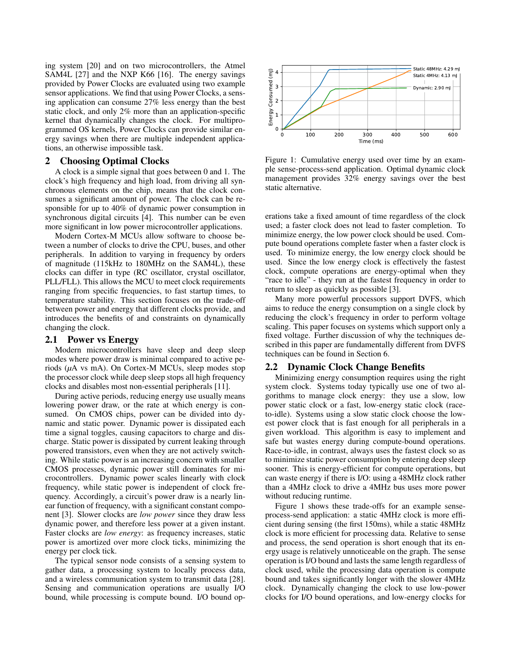ing system [20] and on two microcontrollers, the Atmel SAM4L [27] and the NXP K66 [16]. The energy savings provided by Power Clocks are evaluated using two example sensor applications. We find that using Power Clocks, a sensing application can consume 27% less energy than the best static clock, and only 2% more than an application-specific kernel that dynamically changes the clock. For multiprogrammed OS kernels, Power Clocks can provide similar energy savings when there are multiple independent applications, an otherwise impossible task.

## 2 Choosing Optimal Clocks

A clock is a simple signal that goes between 0 and 1. The clock's high frequency and high load, from driving all synchronous elements on the chip, means that the clock consumes a significant amount of power. The clock can be responsible for up to 40% of dynamic power consumption in synchronous digital circuits [4]. This number can be even more significant in low power microcontroller applications.

Modern Cortex-M MCUs allow software to choose between a number of clocks to drive the CPU, buses, and other peripherals. In addition to varying in frequency by orders of magnitude (115kHz to 180MHz on the SAM4L), these clocks can differ in type (RC oscillator, crystal oscillator, PLL/FLL). This allows the MCU to meet clock requirements ranging from specific frequencies, to fast startup times, to temperature stability. This section focuses on the trade-off between power and energy that different clocks provide, and introduces the benefits of and constraints on dynamically changing the clock.

## 2.1 Power vs Energy

Modern microcontrollers have sleep and deep sleep modes where power draw is minimal compared to active periods (*µ*A vs mA). On Cortex-M MCUs, sleep modes stop the processor clock while deep sleep stops all high frequency clocks and disables most non-essential peripherals [11].

During active periods, reducing energy use usually means lowering power draw, or the rate at which energy is consumed. On CMOS chips, power can be divided into dynamic and static power. Dynamic power is dissipated each time a signal toggles, causing capacitors to charge and discharge. Static power is dissipated by current leaking through powered transistors, even when they are not actively switching. While static power is an increasing concern with smaller CMOS processes, dynamic power still dominates for microcontrollers. Dynamic power scales linearly with clock frequency, while static power is independent of clock frequency. Accordingly, a circuit's power draw is a nearly linear function of frequency, with a significant constant component [3]. Slower clocks are *low power* since they draw less dynamic power, and therefore less power at a given instant. Faster clocks are *low energy*: as frequency increases, static power is amortized over more clock ticks, minimizing the energy per clock tick.

The typical sensor node consists of a sensing system to gather data, a processing system to locally process data, and a wireless communication system to transmit data [28]. Sensing and communication operations are usually I/O bound, while processing is compute bound. I/O bound op-



Figure 1: Cumulative energy used over time by an example sense-process-send application. Optimal dynamic clock management provides 32% energy savings over the best static alternative.

erations take a fixed amount of time regardless of the clock used; a faster clock does not lead to faster completion. To minimize energy, the low power clock should be used. Compute bound operations complete faster when a faster clock is used. To minimize energy, the low energy clock should be used. Since the low energy clock is effectively the fastest clock, compute operations are energy-optimal when they "race to idle" - they run at the fastest frequency in order to return to sleep as quickly as possible [3].

Many more powerful processors support DVFS, which aims to reduce the energy consumption on a single clock by reducing the clock's frequency in order to perform voltage scaling. This paper focuses on systems which support only a fixed voltage. Further discussion of why the techniques described in this paper are fundamentally different from DVFS techniques can be found in Section 6.

# 2.2 Dynamic Clock Change Benefits

Minimizing energy consumption requires using the right system clock. Systems today typically use one of two algorithms to manage clock energy: they use a slow, low power static clock or a fast, low-energy static clock (raceto-idle). Systems using a slow static clock choose the lowest power clock that is fast enough for all peripherals in a given workload. This algorithm is easy to implement and safe but wastes energy during compute-bound operations. Race-to-idle, in contrast, always uses the fastest clock so as to minimize static power consumption by entering deep sleep sooner. This is energy-efficient for compute operations, but can waste energy if there is I/O: using a 48MHz clock rather than a 4MHz clock to drive a 4MHz bus uses more power without reducing runtime.

Figure 1 shows these trade-offs for an example senseprocess-send application: a static 4MHz clock is more efficient during sensing (the first 150ms), while a static 48MHz clock is more efficient for processing data. Relative to sense and process, the send operation is short enough that its energy usage is relatively unnoticeable on the graph. The sense operation is I/O bound and lasts the same length regardless of clock used, while the processing data operation is compute bound and takes significantly longer with the slower 4MHz clock. Dynamically changing the clock to use low-power clocks for I/O bound operations, and low-energy clocks for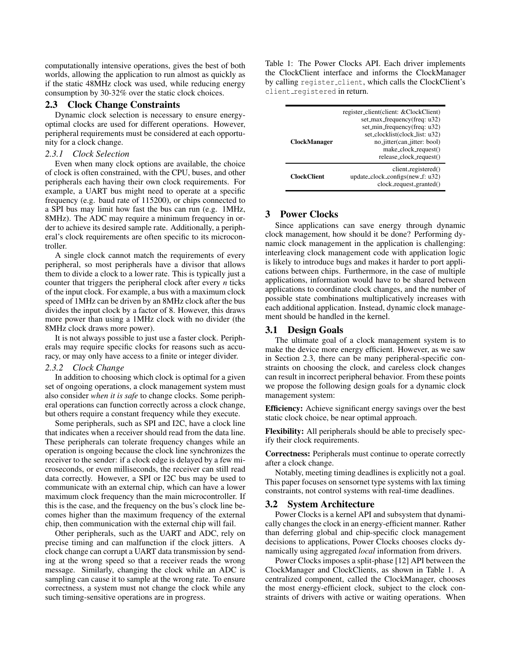computationally intensive operations, gives the best of both worlds, allowing the application to run almost as quickly as if the static 48MHz clock was used, while reducing energy consumption by 30-32% over the static clock choices.

# 2.3 Clock Change Constraints

Dynamic clock selection is necessary to ensure energyoptimal clocks are used for different operations. However, peripheral requirements must be considered at each opportunity for a clock change.

# *2.3.1 Clock Selection*

Even when many clock options are available, the choice of clock is often constrained, with the CPU, buses, and other peripherals each having their own clock requirements. For example, a UART bus might need to operate at a specific frequency (e.g. baud rate of 115200), or chips connected to a SPI bus may limit how fast the bus can run (e.g. 1MHz, 8MHz). The ADC may require a minimum frequency in order to achieve its desired sample rate. Additionally, a peripheral's clock requirements are often specific to its microcontroller.

A single clock cannot match the requirements of every peripheral, so most peripherals have a divisor that allows them to divide a clock to a lower rate. This is typically just a counter that triggers the peripheral clock after every *n* ticks of the input clock. For example, a bus with a maximum clock speed of 1MHz can be driven by an 8MHz clock after the bus divides the input clock by a factor of 8. However, this draws more power than using a 1MHz clock with no divider (the 8MHz clock draws more power).

It is not always possible to just use a faster clock. Peripherals may require specific clocks for reasons such as accuracy, or may only have access to a finite or integer divider.

## *2.3.2 Clock Change*

In addition to choosing which clock is optimal for a given set of ongoing operations, a clock management system must also consider *when it is safe* to change clocks. Some peripheral operations can function correctly across a clock change, but others require a constant frequency while they execute.

Some peripherals, such as SPI and I2C, have a clock line that indicates when a receiver should read from the data line. These peripherals can tolerate frequency changes while an operation is ongoing because the clock line synchronizes the receiver to the sender: if a clock edge is delayed by a few microseconds, or even milliseconds, the receiver can still read data correctly. However, a SPI or I2C bus may be used to communicate with an external chip, which can have a lower maximum clock frequency than the main microcontroller. If this is the case, and the frequency on the bus's clock line becomes higher than the maximum frequency of the external chip, then communication with the external chip will fail.

Other peripherals, such as the UART and ADC, rely on precise timing and can malfunction if the clock jitters. A clock change can corrupt a UART data transmission by sending at the wrong speed so that a receiver reads the wrong message. Similarly, changing the clock while an ADC is sampling can cause it to sample at the wrong rate. To ensure correctness, a system must not change the clock while any such timing-sensitive operations are in progress.

Table 1: The Power Clocks API. Each driver implements the ClockClient interface and informs the ClockManager by calling register client, which calls the ClockClient's client\_registered in return.

| <b>ClockManager</b> | register_client(client: &ClockClient)<br>set_max_frequency(freq: u32)<br>set_min_frequency(freq: u32)<br>set_clocklist(clock_list: u32)<br>no_jitter(can_jitter: bool)<br>make_clock_request()<br>release_clock_request() |
|---------------------|---------------------------------------------------------------------------------------------------------------------------------------------------------------------------------------------------------------------------|
| <b>ClockClient</b>  | client_registered()<br>update_clock_configs(new_f: u32)<br>clock_request_granted()                                                                                                                                        |

# 3 Power Clocks

Since applications can save energy through dynamic clock management, how should it be done? Performing dynamic clock management in the application is challenging: interleaving clock management code with application logic is likely to introduce bugs and makes it harder to port applications between chips. Furthermore, in the case of multiple applications, information would have to be shared between applications to coordinate clock changes, and the number of possible state combinations multiplicatively increases with each additional application. Instead, dynamic clock management should be handled in the kernel.

## 3.1 Design Goals

The ultimate goal of a clock management system is to make the device more energy efficient. However, as we saw in Section 2.3, there can be many peripheral-specific constraints on choosing the clock, and careless clock changes can result in incorrect peripheral behavior. From these points we propose the following design goals for a dynamic clock management system:

Efficiency: Achieve significant energy savings over the best static clock choice, be near optimal approach.

Flexibility: All peripherals should be able to precisely specify their clock requirements.

Correctness: Peripherals must continue to operate correctly after a clock change.

Notably, meeting timing deadlines is explicitly not a goal. This paper focuses on sensornet type systems with lax timing constraints, not control systems with real-time deadlines.

### 3.2 System Architecture

Power Clocks is a kernel API and subsystem that dynamically changes the clock in an energy-efficient manner. Rather than deferring global and chip-specific clock management decisions to applications, Power Clocks chooses clocks dynamically using aggregated *local* information from drivers.

Power Clocks imposes a split-phase [12] API between the ClockManager and ClockClients, as shown in Table 1. A centralized component, called the ClockManager, chooses the most energy-efficient clock, subject to the clock constraints of drivers with active or waiting operations. When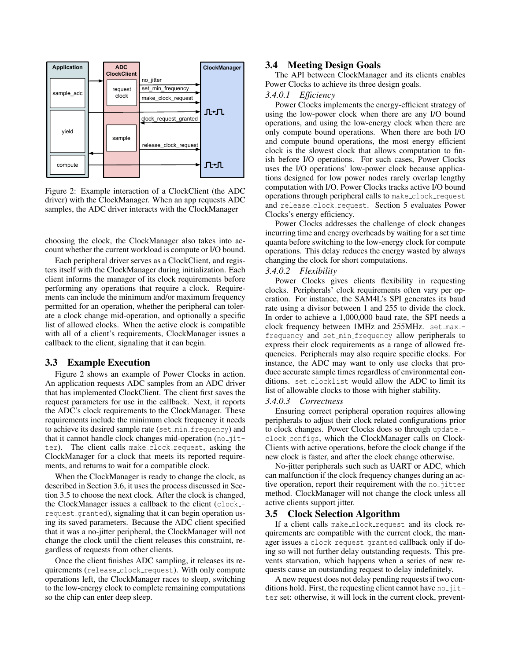

Figure 2: Example interaction of a ClockClient (the ADC driver) with the ClockManager. When an app requests ADC samples, the ADC driver interacts with the ClockManager

choosing the clock, the ClockManager also takes into account whether the current workload is compute or I/O bound.

Each peripheral driver serves as a ClockClient, and registers itself with the ClockManager during initialization. Each client informs the manager of its clock requirements before performing any operations that require a clock. Requirements can include the minimum and/or maximum frequency permitted for an operation, whether the peripheral can tolerate a clock change mid-operation, and optionally a specific list of allowed clocks. When the active clock is compatible with all of a client's requirements, ClockManager issues a callback to the client, signaling that it can begin.

# 3.3 Example Execution

Figure 2 shows an example of Power Clocks in action. An application requests ADC samples from an ADC driver that has implemented ClockClient. The client first saves the request parameters for use in the callback. Next, it reports the ADC's clock requirements to the ClockManager. These requirements include the minimum clock frequency it needs to achieve its desired sample rate (set min frequency) and that it cannot handle clock changes mid-operation (no\_jitter). The client calls make clock request, asking the ClockManager for a clock that meets its reported requirements, and returns to wait for a compatible clock.

When the ClockManager is ready to change the clock, as described in Section 3.6, it uses the process discussed in Section 3.5 to choose the next clock. After the clock is changed, the ClockManager issues a callback to the client (clock-request\_granted), signaling that it can begin operation using its saved parameters. Because the ADC client specified that it was a no-jitter peripheral, the ClockManager will not change the clock until the client releases this constraint, regardless of requests from other clients.

Once the client finishes ADC sampling, it releases its requirements (release clock request). With only compute operations left, the ClockManager races to sleep, switching to the low-energy clock to complete remaining computations so the chip can enter deep sleep.

# 3.4 Meeting Design Goals

The API between ClockManager and its clients enables Power Clocks to achieve its three design goals.

## *3.4.0.1 Efficiency*

Power Clocks implements the energy-efficient strategy of using the low-power clock when there are any I/O bound operations, and using the low-energy clock when there are only compute bound operations. When there are both I/O and compute bound operations, the most energy efficient clock is the slowest clock that allows computation to finish before I/O operations. For such cases, Power Clocks uses the I/O operations' low-power clock because applications designed for low power nodes rarely overlap lengthy computation with I/O. Power Clocks tracks active I/O bound operations through peripheral calls to make\_clock\_request and release clock request. Section 5 evaluates Power Clocks's energy efficiency.

Power Clocks addresses the challenge of clock changes incurring time and energy overheads by waiting for a set time quanta before switching to the low-energy clock for compute operations. This delay reduces the energy wasted by always changing the clock for short computations.

#### *3.4.0.2 Flexibility*

Power Clocks gives clients flexibility in requesting clocks. Peripherals' clock requirements often vary per operation. For instance, the SAM4L's SPI generates its baud rate using a divisor between 1 and 255 to divide the clock. In order to achieve a 1,000,000 baud rate, the SPI needs a clock frequency between 1MHz and 255MHz. set\_max\_frequency and set min frequency allow peripherals to express their clock requirements as a range of allowed frequencies. Peripherals may also require specific clocks. For instance, the ADC may want to only use clocks that produce accurate sample times regardless of environmental conditions. set\_clocklist would allow the ADC to limit its list of allowable clocks to those with higher stability.

#### *3.4.0.3 Correctness*

Ensuring correct peripheral operation requires allowing peripherals to adjust their clock related configurations prior to clock changes. Power Clocks does so through update clock configs, which the ClockManager calls on Clock-Clients with active operations, before the clock change if the new clock is faster, and after the clock change otherwise.

No-jitter peripherals such such as UART or ADC, which can malfunction if the clock frequency changes during an active operation, report their requirement with the no-jitter method. ClockManager will not change the clock unless all active clients support jitter.

### 3.5 Clock Selection Algorithm

If a client calls make clock request and its clock requirements are compatible with the current clock, the manager issues a clock request granted callback only if doing so will not further delay outstanding requests. This prevents starvation, which happens when a series of new requests cause an outstanding request to delay indefinitely.

A new request does not delay pending requests if two conditions hold. First, the requesting client cannot have  $no\_jit$ ter set: otherwise, it will lock in the current clock, prevent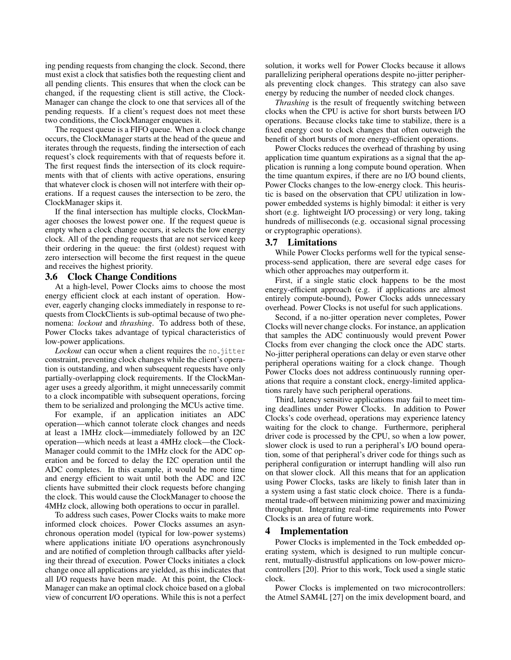ing pending requests from changing the clock. Second, there must exist a clock that satisfies both the requesting client and all pending clients. This ensures that when the clock can be changed, if the requesting client is still active, the Clock-Manager can change the clock to one that services all of the pending requests. If a client's request does not meet these two conditions, the ClockManager enqueues it.

The request queue is a FIFO queue. When a clock change occurs, the ClockManager starts at the head of the queue and iterates through the requests, finding the intersection of each request's clock requirements with that of requests before it. The first request finds the intersection of its clock requirements with that of clients with active operations, ensuring that whatever clock is chosen will not interfere with their operations. If a request causes the intersection to be zero, the ClockManager skips it.

If the final intersection has multiple clocks, ClockManager chooses the lowest power one. If the request queue is empty when a clock change occurs, it selects the low energy clock. All of the pending requests that are not serviced keep their ordering in the queue: the first (oldest) request with zero intersection will become the first request in the queue and receives the highest priority.

## 3.6 Clock Change Conditions

At a high-level, Power Clocks aims to choose the most energy efficient clock at each instant of operation. However, eagerly changing clocks immediately in response to requests from ClockClients is sub-optimal because of two phenomena: *lockout* and *thrashing*. To address both of these, Power Clocks takes advantage of typical characteristics of low-power applications.

*Lockout* can occur when a client requires the no-jitter constraint, preventing clock changes while the client's operation is outstanding, and when subsequent requests have only partially-overlapping clock requirements. If the ClockManager uses a greedy algorithm, it might unnecessarily commit to a clock incompatible with subsequent operations, forcing them to be serialized and prolonging the MCUs active time.

For example, if an application initiates an ADC operation—which cannot tolerate clock changes and needs at least a 1MHz clock—immediately followed by an I2C operation—which needs at least a 4MHz clock—the Clock-Manager could commit to the 1MHz clock for the ADC operation and be forced to delay the I2C operation until the ADC completes. In this example, it would be more time and energy efficient to wait until both the ADC and I2C clients have submitted their clock requests before changing the clock. This would cause the ClockManager to choose the 4MHz clock, allowing both operations to occur in parallel.

To address such cases, Power Clocks waits to make more informed clock choices. Power Clocks assumes an asynchronous operation model (typical for low-power systems) where applications initiate I/O operations asynchronously and are notified of completion through callbacks after yielding their thread of execution. Power Clocks initiates a clock change once all applications are yielded, as this indicates that all I/O requests have been made. At this point, the Clock-Manager can make an optimal clock choice based on a global view of concurrent I/O operations. While this is not a perfect

solution, it works well for Power Clocks because it allows parallelizing peripheral operations despite no-jitter peripherals preventing clock changes. This strategy can also save energy by reducing the number of needed clock changes.

*Thrashing* is the result of frequently switching between clocks when the CPU is active for short bursts between I/O operations. Because clocks take time to stabilize, there is a fixed energy cost to clock changes that often outweigh the benefit of short bursts of more energy-efficient operations.

Power Clocks reduces the overhead of thrashing by using application time quantum expirations as a signal that the application is running a long compute bound operation. When the time quantum expires, if there are no I/O bound clients, Power Clocks changes to the low-energy clock. This heuristic is based on the observation that CPU utilization in lowpower embedded systems is highly bimodal: it either is very short (e.g. lightweight I/O processing) or very long, taking hundreds of milliseconds (e.g. occasional signal processing or cryptographic operations).

# 3.7 Limitations

While Power Clocks performs well for the typical senseprocess-send application, there are several edge cases for which other approaches may outperform it.

First, if a single static clock happens to be the most energy-efficient approach (e.g. if applications are almost entirely compute-bound), Power Clocks adds unnecessary overhead. Power Clocks is not useful for such applications.

Second, if a no-jitter operation never completes, Power Clocks will never change clocks. For instance, an application that samples the ADC continuously would prevent Power Clocks from ever changing the clock once the ADC starts. No-jitter peripheral operations can delay or even starve other peripheral operations waiting for a clock change. Though Power Clocks does not address continuously running operations that require a constant clock, energy-limited applications rarely have such peripheral operations.

Third, latency sensitive applications may fail to meet timing deadlines under Power Clocks. In addition to Power Clocks's code overhead, operations may experience latency waiting for the clock to change. Furthermore, peripheral driver code is processed by the CPU, so when a low power, slower clock is used to run a peripheral's I/O bound operation, some of that peripheral's driver code for things such as peripheral configuration or interrupt handling will also run on that slower clock. All this means that for an application using Power Clocks, tasks are likely to finish later than in a system using a fast static clock choice. There is a fundamental trade-off between minimizing power and maximizing throughput. Integrating real-time requirements into Power Clocks is an area of future work.

## 4 Implementation

Power Clocks is implemented in the Tock embedded operating system, which is designed to run multiple concurrent, mutually-distrustful applications on low-power microcontrollers [20]. Prior to this work, Tock used a single static clock.

Power Clocks is implemented on two microcontrollers: the Atmel SAM4L [27] on the imix development board, and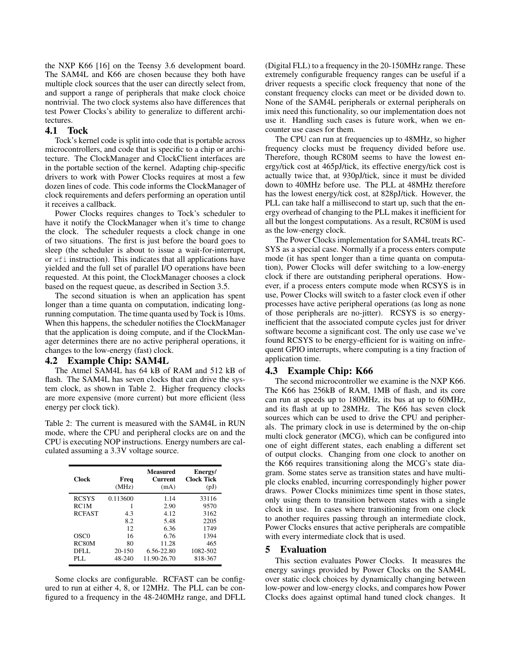the NXP K66 [16] on the Teensy 3.6 development board. The SAM4L and K66 are chosen because they both have multiple clock sources that the user can directly select from, and support a range of peripherals that make clock choice nontrivial. The two clock systems also have differences that test Power Clocks's ability to generalize to different architectures.

# 4.1 Tock

Tock's kernel code is split into code that is portable across microcontrollers, and code that is specific to a chip or architecture. The ClockManager and ClockClient interfaces are in the portable section of the kernel. Adapting chip-specific drivers to work with Power Clocks requires at most a few dozen lines of code. This code informs the ClockManager of clock requirements and defers performing an operation until it receives a callback.

Power Clocks requires changes to Tock's scheduler to have it notify the ClockManager when it's time to change the clock. The scheduler requests a clock change in one of two situations. The first is just before the board goes to sleep (the scheduler is about to issue a wait-for-interrupt, or wfi instruction). This indicates that all applications have yielded and the full set of parallel I/O operations have been requested. At this point, the ClockManager chooses a clock based on the request queue, as described in Section 3.5.

The second situation is when an application has spent longer than a time quanta on computation, indicating longrunning computation. The time quanta used by Tock is 10ms. When this happens, the scheduler notifies the ClockManager that the application is doing compute, and if the ClockManager determines there are no active peripheral operations, it changes to the low-energy (fast) clock.

# 4.2 Example Chip: SAM4L

The Atmel SAM4L has 64 kB of RAM and 512 kB of flash. The SAM4L has seven clocks that can drive the system clock, as shown in Table 2. Higher frequency clocks are more expensive (more current) but more efficient (less energy per clock tick).

Table 2: The current is measured with the SAM4L in RUN mode, where the CPU and peripheral clocks are on and the CPU is executing NOP instructions. Energy numbers are calculated assuming a 3.3V voltage source.

| Clock            | Freq<br>(MHz) | <b>Measured</b><br><b>Current</b><br>(mA) | Energy/<br><b>Clock Tick</b><br>(pJ) |
|------------------|---------------|-------------------------------------------|--------------------------------------|
| <b>RCSYS</b>     | 0.113600      | 1.14                                      | 33116                                |
| RC1M             |               | 2.90                                      | 9570                                 |
| <b>RCFAST</b>    | 4.3           | 4.12                                      | 3162                                 |
|                  | 8.2           | 5.48                                      | 2205                                 |
|                  | 12            | 6.36                                      | 1749                                 |
| OSC <sub>0</sub> | 16            | 6.76                                      | 1394                                 |
| RC80M            | 80            | 11.28                                     | 465                                  |
| DFLL             | $20 - 150$    | 6.56-22.80                                | 1082-502                             |
| PLL.             | 48-240        | 11.90-26.70                               | 818-367                              |

Some clocks are configurable. RCFAST can be configured to run at either 4, 8, or 12MHz. The PLL can be configured to a frequency in the 48-240MHz range, and DFLL

(Digital FLL) to a frequency in the 20-150MHz range. These extremely configurable frequency ranges can be useful if a driver requests a specific clock frequency that none of the constant frequency clocks can meet or be divided down to. None of the SAM4L peripherals or external peripherals on imix need this functionality, so our implementation does not use it. Handling such cases is future work, when we encounter use cases for them.

The CPU can run at frequencies up to 48MHz, so higher frequency clocks must be frequency divided before use. Therefore, though RC80M seems to have the lowest energy/tick cost at 465pJ/tick, its effective energy/tick cost is actually twice that, at 930pJ/tick, since it must be divided down to 40MHz before use. The PLL at 48MHz therefore has the lowest energy/tick cost, at 828pJ/tick. However, the PLL can take half a millisecond to start up, such that the energy overhead of changing to the PLL makes it inefficient for all but the longest computations. As a result, RC80M is used as the low-energy clock.

The Power Clocks implementation for SAM4L treats RC-SYS as a special case. Normally if a process enters compute mode (it has spent longer than a time quanta on computation), Power Clocks will defer switching to a low-energy clock if there are outstanding peripheral operations. However, if a process enters compute mode when RCSYS is in use, Power Clocks will switch to a faster clock even if other processes have active peripheral operations (as long as none of those peripherals are no-jitter). RCSYS is so energyinefficient that the associated compute cycles just for driver software become a significant cost. The only use case we've found RCSYS to be energy-efficient for is waiting on infrequent GPIO interrupts, where computing is a tiny fraction of application time.

# 4.3 Example Chip: K66

The second microcontroller we examine is the NXP K66. The K66 has 256kB of RAM, 1MB of flash, and its core can run at speeds up to 180MHz, its bus at up to 60MHz, and its flash at up to 28MHz. The K66 has seven clock sources which can be used to drive the CPU and peripherals. The primary clock in use is determined by the on-chip multi clock generator (MCG), which can be configured into one of eight different states, each enabling a different set of output clocks. Changing from one clock to another on the K66 requires transitioning along the MCG's state diagram. Some states serve as transition states and have multiple clocks enabled, incurring correspondingly higher power draws. Power Clocks minimizes time spent in those states, only using them to transition between states with a single clock in use. In cases where transitioning from one clock to another requires passing through an intermediate clock, Power Clocks ensures that active peripherals are compatible with every intermediate clock that is used.

# 5 Evaluation

This section evaluates Power Clocks. It measures the energy savings provided by Power Clocks on the SAM4L over static clock choices by dynamically changing between low-power and low-energy clocks, and compares how Power Clocks does against optimal hand tuned clock changes. It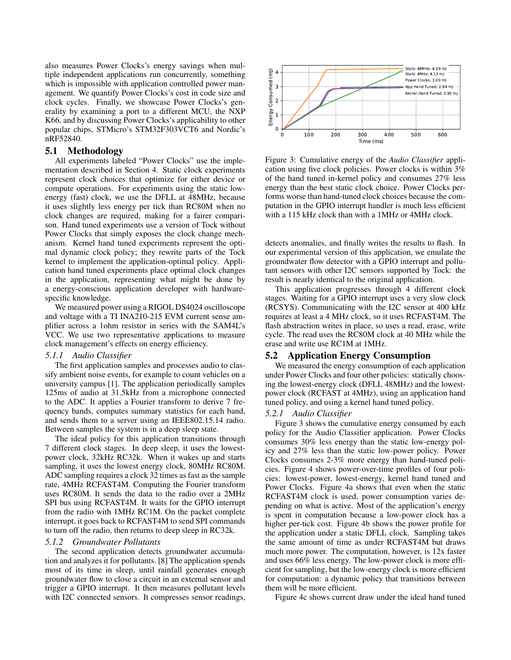also measures Power Clocks's energy savings when multiple independent applications run concurrently, something which is impossible with application controlled power management. We quantify Power Clocks's cost in code size and clock cycles. Finally, we showcase Power Clocks's generality by examining a port to a different MCU, the NXP K66, and by discussing Power Clocks's applicability to other popular chips, STMicro's STM32F303VCT6 and Nordic's nRF52840.

## 5.1 Methodology

All experiments labeled "Power Clocks" use the implementation described in Section 4. Static clock experiments represent clock choices that optimize for either device or compute operations. For experiments using the static lowenergy (fast) clock, we use the DFLL at 48MHz, because it uses slightly less energy per tick than RC80M when no clock changes are required, making for a fairer comparison. Hand tuned experiments use a version of Tock without Power Clocks that simply exposes the clock change mechanism. Kernel hand tuned experiments represent the optimal dynamic clock policy; they rewrite parts of the Tock kernel to implement the application-optimal policy. Application hand tuned experiments place optimal clock changes in the application, representing what might be done by a energy-conscious application developer with hardwarespecific knowledge.

We measured power using a RIGOL DS4024 oscilloscope and voltage with a TI INA210-215 EVM current sense amplifier across a 1ohm resistor in series with the SAM4L's VCC. We use two representative applications to measure clock management's effects on energy efficiency.

## *5.1.1 Audio Classifier*

The first application samples and processes audio to classify ambient noise events, for example to count vehicles on a university campus [1]. The application periodically samples 125ms of audio at 31.5kHz from a microphone connected to the ADC. It applies a Fourier transform to derive 7 frequency bands, computes summary statistics for each band, and sends them to a server using an IEEE802.15.14 radio. Between samples the system is in a deep sleep state.

The ideal policy for this application transitions through 7 different clock stages. In deep sleep, it uses the lowestpower clock, 32kHz RC32k. When it wakes up and starts sampling, it uses the lowest energy clock, 80MHz RC80M. ADC sampling requires a clock 32 times as fast as the sample rate, 4MHz RCFAST4M. Computing the Fourier transform uses RC80M. It sends the data to the radio over a 2MHz SPI bus using RCFAST4M. It waits for the GPIO interrupt from the radio with 1MHz RC1M. On the packet complete interrupt, it goes back to RCFAST4M to send SPI commands to turn off the radio, then returns to deep sleep in RC32k.

## *5.1.2 Groundwater Pollutants*

The second application detects groundwater accumulation and analyzes it for pollutants. [8] The application spends most of its time in sleep, until rainfall generates enough groundwater flow to close a circuit in an external sensor and trigger a GPIO interrupt. It then measures pollutant levels with I2C connected sensors. It compresses sensor readings,



Figure 3: Cumulative energy of the *Audio Classifier* application using five clock policies. Power clocks is within 3% of the hand tuned in-kernel policy and consumes 27% less energy than the best static clock choice. Power Clocks performs worse than hand-tuned clock choices because the computation in the GPIO interrupt handler is much less efficient with a 115 kHz clock than with a 1MHz or 4MHz clock.

detects anomalies, and finally writes the results to flash. In our experimental version of this application, we emulate the groundwater flow detector with a GPIO interrupt and pollutant sensors with other I2C sensors supported by Tock: the result is nearly identical to the original application.

This application progresses through 4 different clock stages. Waiting for a GPIO interrupt uses a very slow clock (RCSYS). Communicating with the I2C sensor at 400 kHz requires at least a 4 MHz clock, so it uses RCFAST4M. The flash abstraction writes in place, so uses a read, erase, write cycle. The read uses the RC80M clock at 40 MHz while the erase and write use RC1M at 1MHz.

## 5.2 Application Energy Consumption

We measured the energy consumption of each application under Power Clocks and four other policies: statically choosing the lowest-energy clock (DFLL 48MHz) and the lowestpower clock (RCFAST at 4MHz), using an application hand tuned policy, and using a kernel hand tuned policy.

#### *5.2.1 Audio Classifier*

Figure 3 shows the cumulative energy consumed by each policy for the Audio Classifier application. Power Clocks consumes 30% less energy than the static low-energy policy and 27% less than the static low-power policy. Power Clocks consumes 2-3% more energy than hand-tuned policies. Figure 4 shows power-over-time profiles of four policies: lowest-power, lowest-energy, kernel hand tuned and Power Clocks. Figure 4a shows that even when the static RCFAST4M clock is used, power consumption varies depending on what is active. Most of the application's energy is spent in computation because a low-power clock has a higher per-tick cost. Figure 4b shows the power profile for the application under a static DFLL clock. Sampling takes the same amount of time as under RCFAST4M but draws much more power. The computation, however, is 12x faster and uses 66% less energy. The low-power clock is more efficient for sampling, but the low-energy clock is more efficient for computation: a dynamic policy that transitions between them will be more efficient.

Figure 4c shows current draw under the ideal hand tuned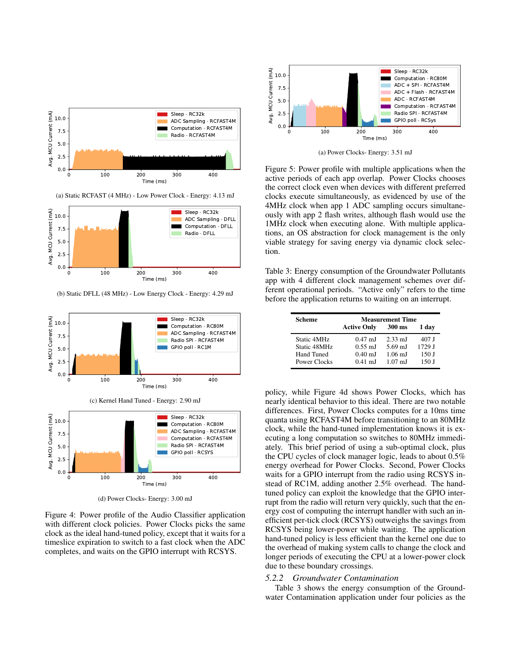

(b) Static DFLL (48 MHz) - Low Energy Clock - Energy: 4.29 mJ





(d) Power Clocks- Energy: 3.00 mJ

Figure 4: Power profile of the Audio Classifier application with different clock policies. Power Clocks picks the same clock as the ideal hand-tuned policy, except that it waits for a timeslice expiration to switch to a fast clock when the ADC completes, and waits on the GPIO interrupt with RCSYS.



(a) Power Clocks- Energy: 3.51 mJ

Figure 5: Power profile with multiple applications when the active periods of each app overlap. Power Clocks chooses the correct clock even when devices with different preferred clocks execute simultaneously, as evidenced by use of the 4MHz clock when app 1 ADC sampling occurs simultaneously with app 2 flash writes, although flash would use the 1MHz clock when executing alone. With multiple applications, an OS abstraction for clock management is the only viable strategy for saving energy via dynamic clock selection.

Table 3: Energy consumption of the Groundwater Pollutants app with 4 different clock management schemes over different operational periods. "Active only" refers to the time before the application returns to waiting on an interrupt.

| <b>Scheme</b> | <b>Measurement Time</b> |                   |        |
|---------------|-------------------------|-------------------|--------|
|               | <b>Active Only</b>      | 300 ms            | 1 dav  |
| Static 4MHz   | $0.47 \text{ mJ}$       | $2.33 \text{ mJ}$ | 407 J  |
| Static 48MHz  | $0.55 \text{ mJ}$       | 5.69 mJ           | 1729 J |
| Hand Tuned    | $0.40 \text{ mJ}$       | $1.06$ mJ         | 150J   |
| Power Clocks  | $0.41$ mJ               | $1.07 \text{ mJ}$ | 150 J  |

policy, while Figure 4d shows Power Clocks, which has nearly identical behavior to this ideal. There are two notable differences. First, Power Clocks computes for a 10ms time quanta using RCFAST4M before transitioning to an 80MHz clock, while the hand-tuned implementation knows it is executing a long computation so switches to 80MHz immediately. This brief period of using a sub-optimal clock, plus the CPU cycles of clock manager logic, leads to about 0.5% energy overhead for Power Clocks. Second, Power Clocks waits for a GPIO interrupt from the radio using RCSYS instead of RC1M, adding another 2.5% overhead. The handtuned policy can exploit the knowledge that the GPIO interrupt from the radio will return very quickly, such that the energy cost of computing the interrupt handler with such an inefficient per-tick clock (RCSYS) outweighs the savings from RCSYS being lower-power while waiting. The application hand-tuned policy is less efficient than the kernel one due to the overhead of making system calls to change the clock and longer periods of executing the CPU at a lower-power clock due to these boundary crossings.

#### *5.2.2 Groundwater Contamination*

Table 3 shows the energy consumption of the Groundwater Contamination application under four policies as the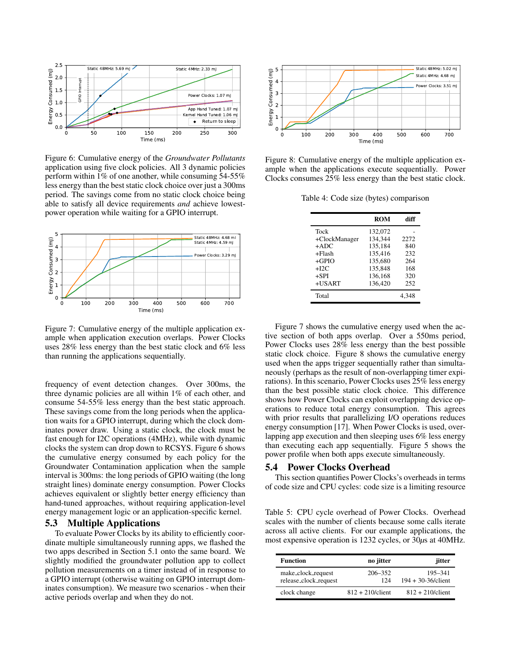

Figure 6: Cumulative energy of the *Groundwater Pollutants* application using five clock policies. All 3 dynamic policies perform within 1% of one another, while consuming 54-55% less energy than the best static clock choice over just a 300ms period. The savings come from no static clock choice being able to satisfy all device requirements *and* achieve lowestpower operation while waiting for a GPIO interrupt.



Figure 7: Cumulative energy of the multiple application example when application execution overlaps. Power Clocks uses 28% less energy than the best static clock and 6% less than running the applications sequentially.

frequency of event detection changes. Over 300ms, the three dynamic policies are all within 1% of each other, and consume 54-55% less energy than the best static approach. These savings come from the long periods when the application waits for a GPIO interrupt, during which the clock dominates power draw. Using a static clock, the clock must be fast enough for I2C operations (4MHz), while with dynamic clocks the system can drop down to RCSYS. Figure 6 shows the cumulative energy consumed by each policy for the Groundwater Contamination application when the sample interval is 300ms: the long periods of GPIO waiting (the long straight lines) dominate energy consumption. Power Clocks achieves equivalent or slightly better energy efficiency than hand-tuned approaches, without requiring application-level energy management logic or an application-specific kernel.

# 5.3 Multiple Applications

To evaluate Power Clocks by its ability to efficiently coordinate multiple simultaneously running apps, we flashed the two apps described in Section 5.1 onto the same board. We slightly modified the groundwater pollution app to collect pollution measurements on a timer instead of in response to a GPIO interrupt (otherwise waiting on GPIO interrupt dominates consumption). We measure two scenarios - when their active periods overlap and when they do not.



Figure 8: Cumulative energy of the multiple application example when the applications execute sequentially. Power Clocks consumes 25% less energy than the best static clock.

Table 4: Code size (bytes) comparison

|               | ROM     | diff  |
|---------------|---------|-------|
| Tock          | 132,072 |       |
| +ClockManager | 134.344 | 2272  |
| $+ADC$        | 135.184 | 840   |
| $+F$ lash     | 135.416 | 232   |
| $+GPIO$       | 135,680 | 264   |
| $+I2C$        | 135.848 | 168   |
| $+SPI$        | 136.168 | 320   |
| $+USART$      | 136.420 | 252   |
| Total         |         | 4.348 |
|               |         |       |

Figure 7 shows the cumulative energy used when the active section of both apps overlap. Over a 550ms period, Power Clocks uses 28% less energy than the best possible static clock choice. Figure 8 shows the cumulative energy used when the apps trigger sequentially rather than simultaneously (perhaps as the result of non-overlapping timer expirations). In this scenario, Power Clocks uses 25% less energy than the best possible static clock choice. This difference shows how Power Clocks can exploit overlapping device operations to reduce total energy consumption. This agrees with prior results that parallelizing I/O operations reduces energy consumption [17]. When Power Clocks is used, overlapping app execution and then sleeping uses 6% less energy than executing each app sequentially. Figure 5 shows the power profile when both apps execute simultaneously.

## 5.4 Power Clocks Overhead

This section quantifies Power Clocks's overheads in terms of code size and CPU cycles: code size is a limiting resource

Table 5: CPU cycle overhead of Power Clocks. Overhead scales with the number of clients because some calls iterate across all active clients. For our example applications, the most expensive operation is 1232 cycles, or 30*µ*s at 40MHz.

| <b>Function</b>                             | no jitter           | jitter                             |
|---------------------------------------------|---------------------|------------------------------------|
| make_clock_request<br>release_clock_request | 206-352<br>124      | 195–341<br>$194 + 30 - 36$ /client |
| clock change                                | $812 + 210$ /client | $812 + 210$ /client                |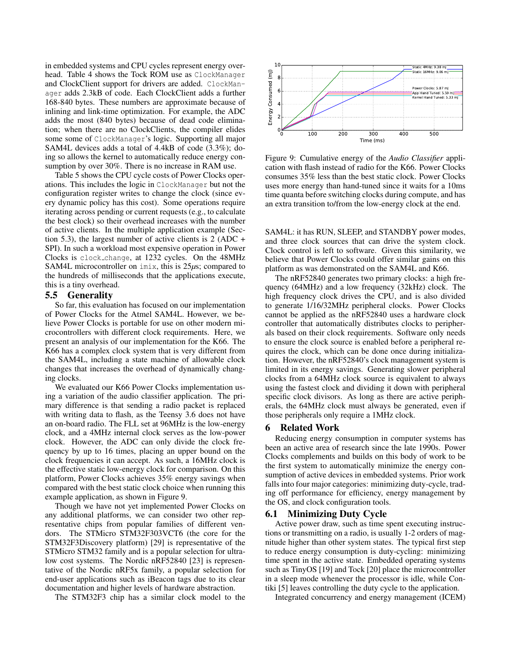in embedded systems and CPU cycles represent energy overhead. Table 4 shows the Tock ROM use as ClockManager and ClockClient support for drivers are added. ClockManager adds 2.3kB of code. Each ClockClient adds a further 168-840 bytes. These numbers are approximate because of inlining and link-time optimization. For example, the ADC adds the most (840 bytes) because of dead code elimination; when there are no ClockClients, the compiler elides some some of ClockManager's logic. Supporting all major SAM4L devices adds a total of 4.4kB of code (3.3%); doing so allows the kernel to automatically reduce energy consumption by over 30%. There is no increase in RAM use.

Table 5 shows the CPU cycle costs of Power Clocks operations. This includes the logic in ClockManager but not the configuration register writes to change the clock (since every dynamic policy has this cost). Some operations require iterating across pending or current requests (e.g., to calculate the best clock) so their overhead increases with the number of active clients. In the multiple application example (Section 5.3), the largest number of active clients is 2 (ADC + SPI). In such a workload most expensive operation in Power Clocks is clock change, at 1232 cycles. On the 48MHz SAM4L microcontroller on imix, this is 25*µ*s; compared to the hundreds of milliseconds that the applications execute, this is a tiny overhead.

## 5.5 Generality

So far, this evaluation has focused on our implementation of Power Clocks for the Atmel SAM4L. However, we believe Power Clocks is portable for use on other modern microcontrollers with different clock requirements. Here, we present an analysis of our implementation for the K66. The K66 has a complex clock system that is very different from the SAM4L, including a state machine of allowable clock changes that increases the overhead of dynamically changing clocks.

We evaluated our K66 Power Clocks implementation using a variation of the audio classifier application. The primary difference is that sending a radio packet is replaced with writing data to flash, as the Teensy 3.6 does not have an on-board radio. The FLL set at 96MHz is the low-energy clock, and a 4MHz internal clock serves as the low-power clock. However, the ADC can only divide the clock frequency by up to 16 times, placing an upper bound on the clock frequencies it can accept. As such, a 16MHz clock is the effective static low-energy clock for comparison. On this platform, Power Clocks achieves 35% energy savings when compared with the best static clock choice when running this example application, as shown in Figure 9.

Though we have not yet implemented Power Clocks on any additional platforms, we can consider two other representative chips from popular families of different vendors. The STMicro STM32F303VCT6 (the core for the STM32F3Discovery platform) [29] is representative of the STMicro STM32 family and is a popular selection for ultralow cost systems. The Nordic nRF52840 [23] is representative of the Nordic nRF5x family, a popular selection for end-user applications such as iBeacon tags due to its clear documentation and higher levels of hardware abstraction.

The STM32F3 chip has a similar clock model to the



Figure 9: Cumulative energy of the *Audio Classifier* application with flash instead of radio for the K66. Power Clocks consumes 35% less than the best static clock. Power Clocks uses more energy than hand-tuned since it waits for a 10ms time quanta before switching clocks during compute, and has an extra transition to/from the low-energy clock at the end.

SAM4L: it has RUN, SLEEP, and STANDBY power modes, and three clock sources that can drive the system clock. Clock control is left to software. Given this similarity, we believe that Power Clocks could offer similar gains on this platform as was demonstrated on the SAM4L and K66.

The nRF52840 generates two primary clocks: a high frequency (64MHz) and a low frequency (32kHz) clock. The high frequency clock drives the CPU, and is also divided to generate 1/16/32MHz peripheral clocks. Power Clocks cannot be applied as the nRF52840 uses a hardware clock controller that automatically distributes clocks to peripherals based on their clock requirements. Software only needs to ensure the clock source is enabled before a peripheral requires the clock, which can be done once during initialization. However, the nRF52840's clock management system is limited in its energy savings. Generating slower peripheral clocks from a 64MHz clock source is equivalent to always using the fastest clock and dividing it down with peripheral specific clock divisors. As long as there are active peripherals, the 64MHz clock must always be generated, even if those peripherals only require a 1MHz clock.

#### 6 Related Work

Reducing energy consumption in computer systems has been an active area of research since the late 1990s. Power Clocks complements and builds on this body of work to be the first system to automatically minimize the energy consumption of active devices in embedded systems. Prior work falls into four major categories: minimizing duty-cycle, trading off performance for efficiency, energy management by the OS, and clock configuration tools.

### 6.1 Minimizing Duty Cycle

Active power draw, such as time spent executing instructions or transmitting on a radio, is usually 1-2 orders of magnitude higher than other system states. The typical first step to reduce energy consumption is duty-cycling: minimizing time spent in the active state. Embedded operating systems such as TinyOS [19] and Tock [20] place the microcontroller in a sleep mode whenever the processor is idle, while Contiki [5] leaves controlling the duty cycle to the application.

Integrated concurrency and energy management (ICEM)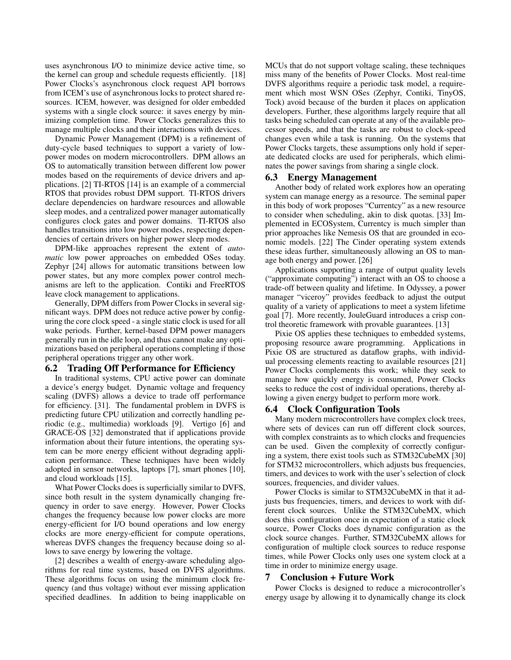uses asynchronous I/O to minimize device active time, so the kernel can group and schedule requests efficiently. [18] Power Clocks's asynchronous clock request API borrows from ICEM's use of asynchronous locks to protect shared resources. ICEM, however, was designed for older embedded systems with a single clock source: it saves energy by minimizing completion time. Power Clocks generalizes this to manage multiple clocks and their interactions with devices.

Dynamic Power Management (DPM) is a refinement of duty-cycle based techniques to support a variety of lowpower modes on modern microcontrollers. DPM allows an OS to automatically transition between different low power modes based on the requirements of device drivers and applications. [2] TI-RTOS [14] is an example of a commercial RTOS that provides robust DPM support. TI-RTOS drivers declare dependencies on hardware resources and allowable sleep modes, and a centralized power manager automatically configures clock gates and power domains. TI-RTOS also handles transitions into low power modes, respecting dependencies of certain drivers on higher power sleep modes.

DPM-like approaches represent the extent of *automatic* low power approaches on embedded OSes today. Zephyr [24] allows for automatic transitions between low power states, but any more complex power control mechanisms are left to the application. Contiki and FreeRTOS leave clock management to applications.

Generally, DPM differs from Power Clocks in several significant ways. DPM does not reduce active power by configuring the core clock speed - a single static clock is used for all wake periods. Further, kernel-based DPM power managers generally run in the idle loop, and thus cannot make any optimizations based on peripheral operations completing if those peripheral operations trigger any other work.

# 6.2 Trading Off Performance for Efficiency

In traditional systems, CPU active power can dominate a device's energy budget. Dynamic voltage and frequency scaling (DVFS) allows a device to trade off performance for efficiency. [31]. The fundamental problem in DVFS is predicting future CPU utilization and correctly handling periodic (e.g., multimedia) workloads [9]. Vertigo [6] and GRACE-OS [32] demonstrated that if applications provide information about their future intentions, the operating system can be more energy efficient without degrading application performance. These techniques have been widely adopted in sensor networks, laptops [7], smart phones [10], and cloud workloads [15].

What Power Clocks does is superficially similar to DVFS, since both result in the system dynamically changing frequency in order to save energy. However, Power Clocks changes the frequency because low power clocks are more energy-efficient for I/O bound operations and low energy clocks are more energy-efficient for compute operations, whereas DVFS changes the frequency because doing so allows to save energy by lowering the voltage.

[2] describes a wealth of energy-aware scheduling algorithms for real time systems, based on DVFS algorithms. These algorithms focus on using the minimum clock frequency (and thus voltage) without ever missing application specified deadlines. In addition to being inapplicable on MCUs that do not support voltage scaling, these techniques miss many of the benefits of Power Clocks. Most real-time DVFS algorithms require a periodic task model, a requirement which most WSN OSes (Zephyr, Contiki, TinyOS, Tock) avoid because of the burden it places on application developers. Further, these algorithms largely require that all tasks being scheduled can operate at any of the available processor speeds, and that the tasks are robust to clock-speed changes even while a task is running. On the systems that Power Clocks targets, these assumptions only hold if seperate dedicated clocks are used for peripherals, which eliminates the power savings from sharing a single clock.

# 6.3 Energy Management

Another body of related work explores how an operating system can manage energy as a resource. The seminal paper in this body of work proposes "Currentcy" as a new resource to consider when scheduling, akin to disk quotas. [33] Implemented in ECOSystem, Currentcy is much simpler than prior approaches like Nemesis OS that are grounded in economic models. [22] The Cinder operating system extends these ideas further, simultaneously allowing an OS to manage both energy and power. [26]

Applications supporting a range of output quality levels ("approximate computing") interact with an OS to choose a trade-off between quality and lifetime. In Odyssey, a power manager "viceroy" provides feedback to adjust the output quality of a variety of applications to meet a system lifetime goal [7]. More recently, JouleGuard introduces a crisp control theoretic framework with provable guarantees. [13]

Pixie OS applies these techniques to embedded systems, proposing resource aware programming. Applications in Pixie OS are structured as dataflow graphs, with individual processing elements reacting to available resources [21] Power Clocks complements this work; while they seek to manage how quickly energy is consumed, Power Clocks seeks to reduce the cost of individual operations, thereby allowing a given energy budget to perform more work.

## 6.4 Clock Configuration Tools

Many modern microcontrollers have complex clock trees, where sets of devices can run off different clock sources, with complex constraints as to which clocks and frequencies can be used. Given the complexity of correctly configuring a system, there exist tools such as STM32CubeMX [30] for STM32 microcontrollers, which adjusts bus frequencies, timers, and devices to work with the user's selection of clock sources, frequencies, and divider values.

Power Clocks is similar to STM32CubeMX in that it adjusts bus frequencies, timers, and devices to work with different clock sources. Unlike the STM32CubeMX, which does this configuration once in expectation of a static clock source, Power Clocks does dynamic configuration as the clock source changes. Further, STM32CubeMX allows for configuration of multiple clock sources to reduce response times, while Power Clocks only uses one system clock at a time in order to minimize energy usage.

# 7 Conclusion + Future Work

Power Clocks is designed to reduce a microcontroller's energy usage by allowing it to dynamically change its clock